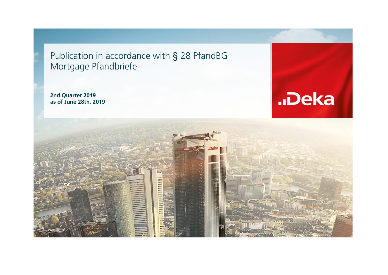Publication in accordance with § 28 PfandBG Mortgage Pfandbriefe

**2nd Quarter 2019 as of June 28th, 2019**



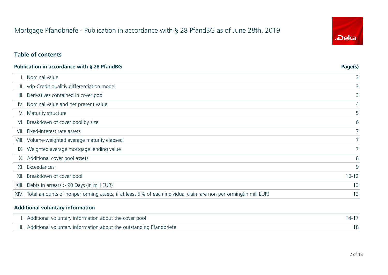# Mortgage Pfandbriefe - Publication in accordance with § 28 PfandBG as of June 28th, 2019

### **Table of contents**

|       | Publication in accordance with § 28 PfandBG                                                                          | Page(s)     |
|-------|----------------------------------------------------------------------------------------------------------------------|-------------|
|       | I. Nominal value                                                                                                     | 3           |
|       | II. vdp-Credit qualitiy differentiation model                                                                        | 3           |
| III.  | Derivatives contained in cover pool                                                                                  | 3           |
|       | IV. Nominal value and net present value                                                                              | 4           |
|       | V. Maturity structure                                                                                                | 5           |
| VI.   | Breakdown of cover pool by size                                                                                      | 6           |
| VII.  | Fixed-interest rate assets                                                                                           |             |
|       | VIII. Volume-weighted average maturity elapsed                                                                       | $7^{\circ}$ |
|       | IX. Weighted average mortgage lending value                                                                          |             |
|       | X. Additional cover pool assets                                                                                      | 8           |
|       | XI. Exceedances                                                                                                      | 9           |
| XII.  | Breakdown of cover pool                                                                                              | $10 - 12$   |
| XIII. | Debts in arrears > 90 Days (in mill EUR)                                                                             | 13          |
|       | XIV. Total amounts of nonperforming assets, if at least 5% of each individual claim are non performing (in mill EUR) | 13          |

#### **Additional voluntary information**

 $\overline{a}$ 

| I. Additional voluntary information about the cover pool               |  |
|------------------------------------------------------------------------|--|
| II. Additional voluntary information about the outstanding Pfandbriefe |  |

![](_page_1_Picture_6.jpeg)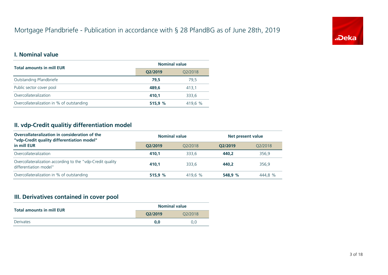# Mortgage Pfandbriefe - Publication in accordance with § 28 PfandBG as of June 28th, 2019

![](_page_2_Picture_1.jpeg)

### **I. Nominal value**

| <b>Total amounts in mill EUR</b>          | <b>Nominal value</b> |         |  |  |
|-------------------------------------------|----------------------|---------|--|--|
|                                           | Q2/2019              | Q2/2018 |  |  |
| Outstanding Pfandbriefe                   | 79.5                 | 79.5    |  |  |
| Public sector cover pool                  | 489.6                | 413,1   |  |  |
| Overcollateralization                     | 410.1                | 333.6   |  |  |
| Overcollateralization in % of outstanding | 515,9 %              | 419.6 % |  |  |

### **II. vdp-Credit qualitiy differentiation model**

| Overcollateralization in consideration of the<br>"vdp-Credit quality differentiation model" | <b>Nominal value</b> |         | Net present value |         |  |
|---------------------------------------------------------------------------------------------|----------------------|---------|-------------------|---------|--|
| in mill EUR                                                                                 | O2/2019              | 02/2018 | O2/2019           | 02/2018 |  |
| Overcollateralization                                                                       | 410.1                | 333.6   | 440.2             | 356.9   |  |
| Overcollateralization according to the "vdp-Credit quality<br>differentiation model"        | 410.1                | 333.6   | 440.2             | 356.9   |  |
| Overcollateralization in % of outstanding                                                   | 515.9%               | 419.6 % | 548.9 %           | 444.8 % |  |

#### **III. Derivatives contained in cover pool**

| <b>Total amounts in mill EUR</b> | <b>Nominal value</b> |         |  |
|----------------------------------|----------------------|---------|--|
|                                  | O2/2019              | 02/2018 |  |
| Derivates                        | 0.0                  | 0.0     |  |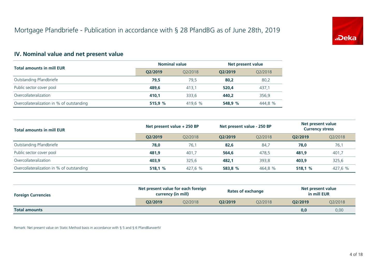![](_page_3_Picture_1.jpeg)

## **IV. Nominal value and net present value**

| <b>Total amounts in mill EUR</b>          | <b>Nominal value</b> |         | Net present value |         |
|-------------------------------------------|----------------------|---------|-------------------|---------|
|                                           | O2/2019              | 02/2018 | O2/2019           | Q2/2018 |
| Outstanding Pfandbriefe                   | 79.5                 | 79.5    | 80.2              | 80,2    |
| Public sector cover pool                  | 489,6                | 413.1   | 520,4             | 437,1   |
| Overcollateralization                     | 410.1                | 333.6   | 440.2             | 356,9   |
| Overcollateralization in % of outstanding | 515.9%               | 419.6 % | 548.9 %           | 444.8 % |

| <b>Total amounts in mill EUR</b>          | Net present value + 250 BP |         | Net present value - 250 BP |         | Net present value<br><b>Currency stress</b> |         |
|-------------------------------------------|----------------------------|---------|----------------------------|---------|---------------------------------------------|---------|
|                                           | O2/2019                    | 02/2018 | O2/2019                    | 02/2018 | O2/2019                                     | Q2/2018 |
| Outstanding Pfandbriefe                   | 78,0                       | 76,1    | 82,6                       | 84.7    | 78,0                                        | 76,1    |
| Public sector cover pool                  | 481,9                      | 401,7   | 564,6                      | 478,5   | 481,9                                       | 401,7   |
| Overcollateralization                     | 403.9                      | 325,6   | 482.1                      | 393,8   | 403.9                                       | 325,6   |
| Overcollateralization in % of outstanding | 518,1%                     | 427,6 % | 583,8 %                    | 464,8 % | 518,1%                                      | 427,6 % |

| <b>Foreign Currencies</b> | Net present value for each foreign<br>currency (in mill) |         | <b>Rates of exchange</b> |         | Net present value<br>in mill EUR |         |
|---------------------------|----------------------------------------------------------|---------|--------------------------|---------|----------------------------------|---------|
|                           | O2/2019                                                  | 02/2018 | O2/2019                  | 02/2018 | O2/2019                          | Q2/2018 |
| <b>Total amounts</b>      |                                                          |         |                          |         | 0,0                              | 0,00    |

Remark: Net present value on Static Method basis in accordance with § 5 and § 6 PfandBarwertV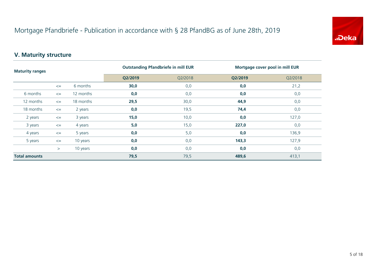![](_page_4_Picture_1.jpeg)

## **V. Maturity structure**

| <b>Maturity ranges</b> |        |           |         | <b>Outstanding Pfandbriefe in mill EUR</b><br>Mortgage cover pool in mill EUR |         |         |
|------------------------|--------|-----------|---------|-------------------------------------------------------------------------------|---------|---------|
|                        |        |           | Q2/2019 | Q2/2018                                                                       | Q2/2019 | Q2/2018 |
|                        | $\leq$ | 6 months  | 30,0    | 0,0                                                                           | 0,0     | 21,2    |
| 6 months               | $\leq$ | 12 months | 0,0     | 0,0                                                                           | 0,0     | 0,0     |
| 12 months              | $\leq$ | 18 months | 29,5    | 30,0                                                                          | 44,9    | 0,0     |
| 18 months              | $\leq$ | 2 years   | 0,0     | 19,5                                                                          | 74,4    | 0,0     |
| 2 years                | $\leq$ | 3 years   | 15,0    | 10,0                                                                          | 0,0     | 127,0   |
| 3 years                | $\leq$ | 4 years   | $5,0$   | 15,0                                                                          | 227,0   | 0,0     |
| 4 years                | $\leq$ | 5 years   | 0,0     | 5,0                                                                           | 0,0     | 136,9   |
| 5 years                | $\leq$ | 10 years  | 0,0     | 0,0                                                                           | 143,3   | 127,9   |
|                        | >      | 10 years  | 0,0     | 0,0                                                                           | 0,0     | 0,0     |
| <b>Total amounts</b>   |        | 79,5      | 79,5    | 489,6                                                                         | 413,1   |         |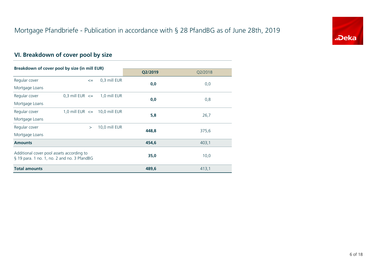![](_page_5_Picture_1.jpeg)

## **VI. Breakdown of cover pool by size**

| Breakdown of cover pool by size (in mill EUR)                                            |                     |        |                                   |         |         |  |
|------------------------------------------------------------------------------------------|---------------------|--------|-----------------------------------|---------|---------|--|
|                                                                                          |                     |        |                                   | Q2/2019 | Q2/2018 |  |
| Regular cover                                                                            |                     | $\leq$ | 0,3 mill EUR                      | 0,0     |         |  |
| Mortgage Loans                                                                           |                     |        |                                   |         | 0,0     |  |
| Regular cover                                                                            | 0,3 mill EUR $\leq$ |        | 1,0 mill EUR                      |         |         |  |
| Mortgage Loans                                                                           |                     |        |                                   | 0,0     | 0,8     |  |
| Regular cover                                                                            |                     |        | 1,0 mill EUR $\leq$ 10,0 mill EUR |         |         |  |
| Mortgage Loans                                                                           |                     |        |                                   | 5,8     | 26,7    |  |
| Regular cover                                                                            |                     | $\geq$ | 10,0 mill EUR                     |         |         |  |
| Mortgage Loans                                                                           |                     |        |                                   | 448,8   | 375,6   |  |
| <b>Amounts</b>                                                                           |                     |        |                                   | 454,6   | 403,1   |  |
| Additional cover pool assets according to<br>§ 19 para. 1 no. 1, no. 2 and no. 3 PfandBG |                     |        |                                   | 35,0    | 10,0    |  |
| <b>Total amounts</b>                                                                     |                     |        |                                   | 489,6   | 413,1   |  |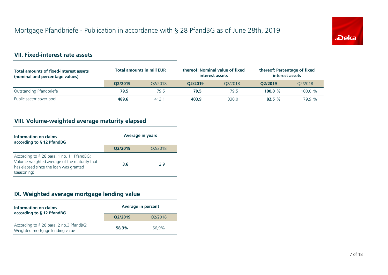![](_page_6_Picture_1.jpeg)

### **VII. Fixed-interest rate assets**

| <b>Total amounts of fixed-interest assets</b><br>(nominal and percentage values) | <b>Total amounts in mill EUR</b> |         | thereof: Nominal value of fixed<br>interest assets |         | thereof: Percentage of fixed<br>interest assets |         |
|----------------------------------------------------------------------------------|----------------------------------|---------|----------------------------------------------------|---------|-------------------------------------------------|---------|
|                                                                                  | O2/2019                          | 02/2018 | O2/2019                                            | 02/2018 | O2/2019                                         | 02/2018 |
| Outstanding Pfandbriefe                                                          | 79.5                             | 79.5    | 79.5                                               | 79.5    | 100.0 $%$                                       | 100.0 % |
| Public sector cover pool                                                         | 489.6                            | 413.7   | 403.9                                              | 330.0   | 82.5%                                           | 79.9 %  |

## **VIII. Volume-weighted average maturity elapsed**

| Information on claims<br>according to § 12 PfandBG                                                                                                 | <b>Average in years</b> |         |  |
|----------------------------------------------------------------------------------------------------------------------------------------------------|-------------------------|---------|--|
|                                                                                                                                                    | Q2/2019                 | Q2/2018 |  |
| According to § 28 para. 1 no. 11 PfandBG:<br>Volume-weighted average of the maturity that<br>has elapsed since the loan was granted<br>(seasoning) | 3,6                     | 2.9     |  |

## **IX. Weighted average mortgage lending value**

| Information on claims<br>according to § 12 PfandBG                         | <b>Average in percent</b> |         |  |
|----------------------------------------------------------------------------|---------------------------|---------|--|
|                                                                            | O2/2019                   | Q2/2018 |  |
| According to § 28 para. 2 no.3 PfandBG:<br>Weighted mortgage lending value | 58.3%                     | 56.9%   |  |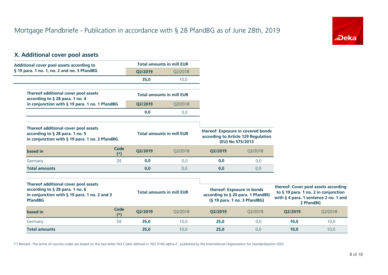![](_page_7_Picture_1.jpeg)

## **X. Additional cover pool assets**

| Additional cover pool assets according to                                                                                                 |                      |         | <b>Total amounts in mill EUR</b> |                                                                                                 |                                     |         |                                                                                                                                    |
|-------------------------------------------------------------------------------------------------------------------------------------------|----------------------|---------|----------------------------------|-------------------------------------------------------------------------------------------------|-------------------------------------|---------|------------------------------------------------------------------------------------------------------------------------------------|
| § 19 para. 1 no. 1, no. 2 and no. 3 PfandBG                                                                                               |                      | Q2/2019 | Q2/2018                          |                                                                                                 |                                     |         |                                                                                                                                    |
|                                                                                                                                           |                      | 35,0    | 10,0                             |                                                                                                 |                                     |         |                                                                                                                                    |
| Thereof additional cover pool assets<br>according to § 28 para. 1 no. 4                                                                   |                      |         | <b>Total amounts in mill EUR</b> |                                                                                                 |                                     |         |                                                                                                                                    |
| in conjunction with § 19 para. 1 no. 1 PfandBG                                                                                            |                      | Q2/2019 | Q2/2018                          |                                                                                                 |                                     |         |                                                                                                                                    |
|                                                                                                                                           |                      | 0,0     | 0,0                              |                                                                                                 |                                     |         |                                                                                                                                    |
| Thereof additional cover pool assets<br>according to § 28 para. 1 no. 5<br>in conjunction with § 19 para. 1 no. 2 PfandBG                 |                      |         | <b>Total amounts in mill EUR</b> | thereof: Exposure in covered bonds<br>(EU) No 575/2013                                          | according to Article 129 Regulation |         |                                                                                                                                    |
| based in                                                                                                                                  | <b>Code</b><br>$(*)$ | Q2/2019 | Q2/2018                          | Q2/2019                                                                                         | Q2/2018                             |         |                                                                                                                                    |
| Germany                                                                                                                                   | DE                   | 0,0     | 0,0                              | 0,0                                                                                             | 0,0                                 |         |                                                                                                                                    |
| <b>Total amounts</b>                                                                                                                      |                      | 0,0     | 0,0                              | 0,0                                                                                             | 0,0                                 |         |                                                                                                                                    |
| Thereof additional cover pool assets<br>according to § 28 para. 1 no. 6<br>in conjunction with § 19 para. 1 no. 2 and 3<br><b>PfandBG</b> |                      |         | <b>Total amounts in mill EUR</b> | thereof: Exposure in bonds<br>according to § 20 para. 1 PfandBG<br>(§ 19 para. 1 no. 3 PfandBG) |                                     |         | thereof: Cover pool assets according<br>to § 19 para. 1 no. 2 in conjunction<br>with § 4 para. 1 sentence 2 no. 1 and<br>2 PfandBG |
| based in                                                                                                                                  | <b>Code</b><br>$(*)$ | Q2/2019 | Q2/2018                          | Q2/2019                                                                                         | Q2/2018                             | Q2/2019 | Q2/2018                                                                                                                            |
| Germany                                                                                                                                   | DE                   | 35,0    | 10,0                             | 25,0                                                                                            | 0,0                                 | 10,0    | 10,0                                                                                                                               |
| <b>Total amounts</b>                                                                                                                      |                      | 35,0    | 10,0                             | 25,0                                                                                            | 0,0                                 | 10,0    | 10,0                                                                                                                               |

(\*) Remark: The terms of country codes are based on the two-letter ISO-Codes defined in 'ISO 3166 alpha-2', published by the International Organization for Standardization (ISO).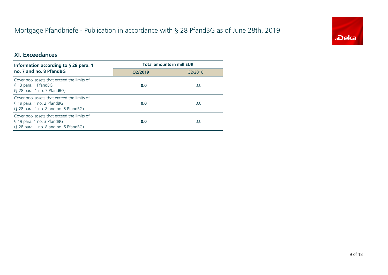# Mortgage Pfandbriefe - Publication in accordance with § 28 PfandBG as of June 28th, 2019

![](_page_8_Picture_1.jpeg)

### **XI. Exceedances**

| Information according to $\S$ 28 para. 1                                                                            | <b>Total amounts in mill EUR</b> |         |  |
|---------------------------------------------------------------------------------------------------------------------|----------------------------------|---------|--|
| no. 7 and no. 8 PfandBG                                                                                             | O2/2019                          | 02/2018 |  |
| Cover pool assets that exceed the limits of<br>§ 13 para. 1 PfandBG<br>(§ 28 para. 1 no. 7 PfandBG)                 | 0,0                              | 0,0     |  |
| Cover pool assets that exceed the limits of<br>§ 19 para. 1 no. 2 PfandBG<br>(§ 28 para. 1 no. 8 and no. 5 PfandBG) | 0,0                              | 0,0     |  |
| Cover pool assets that exceed the limits of<br>§ 19 para. 1 no. 3 PfandBG<br>(§ 28 para. 1 no. 8 and no. 6 PfandBG) | 0,0                              | 0,0     |  |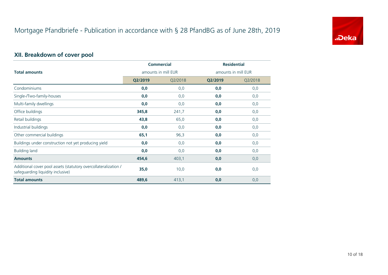![](_page_9_Picture_1.jpeg)

## **XII. Breakdown of cover pool**

|                                                                                                      | <b>Commercial</b>   |         | <b>Residential</b>  |         |
|------------------------------------------------------------------------------------------------------|---------------------|---------|---------------------|---------|
| <b>Total amounts</b>                                                                                 | amounts in mill EUR |         | amounts in mill EUR |         |
|                                                                                                      | Q2/2019             | Q2/2018 | Q2/2019             | Q2/2018 |
| Condominiums                                                                                         | 0,0                 | 0,0     | 0,0                 | 0,0     |
| Single-/Two-family-houses                                                                            | 0,0                 | 0,0     | 0,0                 | 0,0     |
| Multi-family dwellings                                                                               | 0,0                 | 0,0     | 0,0                 | 0,0     |
| Office buildings                                                                                     | 345,8               | 241,7   | 0,0                 | 0,0     |
| Retail buildings                                                                                     | 43,8                | 65,0    | 0,0                 | 0,0     |
| Industrial buildings                                                                                 | 0,0                 | 0,0     | 0,0                 | 0,0     |
| Other commercial buildings                                                                           | 65,1                | 96,3    | 0,0                 | 0,0     |
| Buildings under construction not yet producing yield                                                 | 0,0                 | 0,0     | 0,0                 | 0,0     |
| <b>Building land</b>                                                                                 | 0,0                 | 0,0     | 0,0                 | 0,0     |
| <b>Amounts</b>                                                                                       | 454,6               | 403,1   | 0,0                 | 0,0     |
| Additional cover pool assets (statutory overcollateralization /<br>safeguarding liquidity inclusive) | 35,0                | 10,0    | 0,0                 | 0,0     |
| <b>Total amounts</b>                                                                                 | 489,6               | 413,1   | 0,0                 | 0,0     |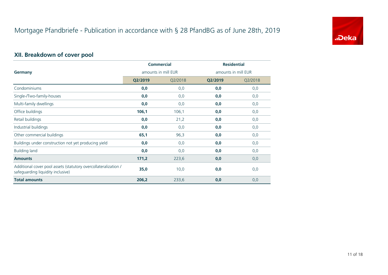![](_page_10_Picture_1.jpeg)

## **XII. Breakdown of cover pool**

|                                                                                                      | <b>Commercial</b>   |         | <b>Residential</b>  |         |
|------------------------------------------------------------------------------------------------------|---------------------|---------|---------------------|---------|
| Germany                                                                                              | amounts in mill EUR |         | amounts in mill EUR |         |
|                                                                                                      | Q2/2019             | Q2/2018 | Q2/2019             | Q2/2018 |
| Condominiums                                                                                         | 0,0                 | 0,0     | 0,0                 | 0,0     |
| Single-/Two-family-houses                                                                            | 0,0                 | 0,0     | 0,0                 | 0,0     |
| Multi-family dwellings                                                                               | 0,0                 | 0,0     | 0,0                 | 0,0     |
| Office buildings                                                                                     | 106,1               | 106,1   | 0,0                 | 0,0     |
| Retail buildings                                                                                     | 0,0                 | 21,2    | 0,0                 | 0,0     |
| Industrial buildings                                                                                 | 0,0                 | 0,0     | 0,0                 | 0,0     |
| Other commercial buildings                                                                           | 65,1                | 96,3    | 0,0                 | 0,0     |
| Buildings under construction not yet producing yield                                                 | 0,0                 | 0,0     | 0,0                 | 0,0     |
| <b>Building land</b>                                                                                 | 0,0                 | 0,0     | 0,0                 | 0,0     |
| <b>Amounts</b>                                                                                       | 171,2               | 223,6   | 0,0                 | 0,0     |
| Additional cover pool assets (statutory overcollateralization /<br>safeguarding liquidity inclusive) | 35,0                | 10,0    | 0,0                 | 0,0     |
| <b>Total amounts</b>                                                                                 | 206,2               | 233,6   | 0,0                 | 0,0     |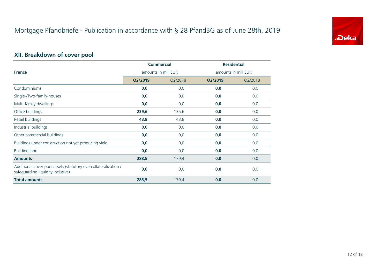![](_page_11_Picture_1.jpeg)

## **XII. Breakdown of cover pool**

|                                                                                                      | <b>Commercial</b>   |         | <b>Residential</b>  |         |  |
|------------------------------------------------------------------------------------------------------|---------------------|---------|---------------------|---------|--|
| <b>France</b>                                                                                        | amounts in mill EUR |         | amounts in mill EUR |         |  |
|                                                                                                      | Q2/2019             | Q2/2018 | Q2/2019             | Q2/2018 |  |
| Condominiums                                                                                         | 0,0                 | 0,0     | 0,0                 | 0,0     |  |
| Single-/Two-family-houses                                                                            | 0,0                 | 0,0     | 0,0                 | 0,0     |  |
| Multi-family dwellings                                                                               | 0,0                 | 0,0     | 0,0                 | 0,0     |  |
| Office buildings                                                                                     | 239,6               | 135,6   | 0,0                 | 0,0     |  |
| Retail buildings                                                                                     | 43,8                | 43,8    | 0,0                 | 0,0     |  |
| Industrial buildings                                                                                 | 0,0                 | 0,0     | 0,0                 | 0,0     |  |
| Other commercial buildings                                                                           | 0,0                 | 0,0     | 0,0                 | 0,0     |  |
| Buildings under construction not yet producing yield                                                 | 0,0                 | 0,0     | 0,0                 | 0,0     |  |
| <b>Building land</b>                                                                                 | 0,0                 | 0,0     | 0,0                 | 0,0     |  |
| <b>Amounts</b>                                                                                       | 283,5               | 179,4   | 0,0                 | 0,0     |  |
| Additional cover pool assets (statutory overcollateralization /<br>safeguarding liquidity inclusive) | 0,0                 | 0,0     | 0,0                 | 0,0     |  |
| <b>Total amounts</b>                                                                                 | 283,5               | 179,4   | 0,0                 | 0,0     |  |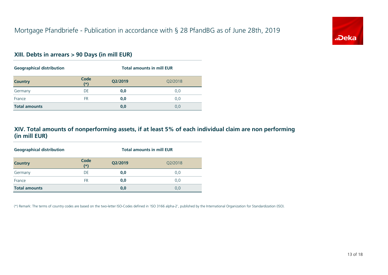![](_page_12_Picture_1.jpeg)

#### **XIII. Debts in arrears > 90 Days (in mill EUR)**

| <b>Geographical distribution</b> |               | <b>Total amounts in mill EUR</b> |         |  |
|----------------------------------|---------------|----------------------------------|---------|--|
| <b>Country</b>                   | Code<br>$(*)$ | Q2/2019                          | Q2/2018 |  |
| Germany                          | DE            | 0,0                              | 0,0     |  |
| France                           | FR            | 0,0                              | 0,0     |  |
| <b>Total amounts</b>             |               | 0,0                              | 0,0     |  |

### **XIV. Total amounts of nonperforming assets, if at least 5% of each individual claim are non performing (in mill EUR)**

| <b>Geographical distribution</b> |               | <b>Total amounts in mill EUR</b> |         |  |
|----------------------------------|---------------|----------------------------------|---------|--|
| <b>Country</b>                   | Code<br>$(*)$ | Q2/2019                          | Q2/2018 |  |
| Germany                          | DE            | 0,0                              | 0,0     |  |
| France                           | FR            | 0,0                              | 0,0     |  |
| <b>Total amounts</b>             |               | 0,0                              | 0,0     |  |

(\*) Remark: The terms of country codes are based on the two-letter ISO-Codes defined in 'ISO 3166 alpha-2', published by the International Organization for Standardization (ISO).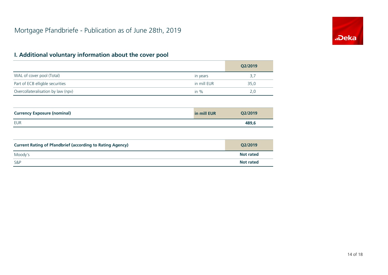![](_page_13_Picture_1.jpeg)

|                                    |             | Q2/2019 |
|------------------------------------|-------------|---------|
| WAL of cover pool (Total)          | in years    | 3,7     |
| Part of ECB elligble securities    | in mill EUR | 35,0    |
| Overcollateralisation by law (npv) | in %        | 2.0     |

| <b>Currency Exposure (nominal)</b> | in mill EUR | Q2/2019 |
|------------------------------------|-------------|---------|
| EUR                                |             | 489,6   |

| <b>Current Rating of Pfandbrief (according to Rating Agency)</b> | O2/2019          |
|------------------------------------------------------------------|------------------|
| Moody's                                                          | <b>Not rated</b> |
| <b>S&amp;P</b>                                                   | <b>Not rated</b> |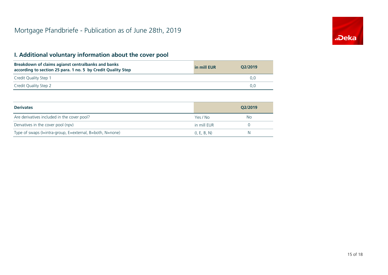| Breakdown of claims agianst centralbanks and banks<br>according to section 25 para. 1 no. 5 by Credit Quality Step | in mill EUR | O2/2019 |
|--------------------------------------------------------------------------------------------------------------------|-------------|---------|
| Credit Quality Step 1                                                                                              |             | 0.0     |
| Credit Quality Step 2                                                                                              |             | 0.0     |

| <b>Derivates</b>                                          |              | O2/2019 |
|-----------------------------------------------------------|--------------|---------|
| Are derivatives included in the cover pool?               | Yes / No     | No.     |
| Dervatives in the cover pool (npv)                        | in mill EUR  |         |
| Type of swaps (I=intra-group, E=external, B=both, N=none) | (I, E, B, N) | N       |

![](_page_14_Picture_4.jpeg)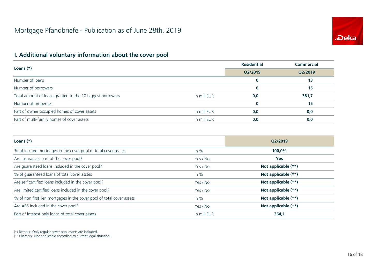![](_page_15_Picture_1.jpeg)

|                                                           |             | <b>Residential</b> | <b>Commercial</b> |  |
|-----------------------------------------------------------|-------------|--------------------|-------------------|--|
| Loans $(*)$                                               | Q2/2019     | Q2/2019            |                   |  |
| Number of loans                                           |             | $\bf{0}$           | 13                |  |
| Number of borrowers                                       |             |                    | 15                |  |
| Total amount of loans granted to the 10 biggest borrowers | in mill EUR | 0,0                | 381,7             |  |
| Number of properties                                      |             |                    | 15                |  |
| Part of owner occupied homes of cover assets              | in mill EUR | 0,0                | 0,0               |  |
| Part of multi-family homes of cover assets                | in mill EUR | 0,0                | 0,0               |  |

| Loans $(*)$                                                           |             | O2/2019             |
|-----------------------------------------------------------------------|-------------|---------------------|
| % of insured mortgages in the cover pool of total cover asstes        | in $%$      | 100,0%              |
| Are Insurances part of the cover pool?                                | Yes / No    | <b>Yes</b>          |
| Are guaranteed loans included in the cover pool?                      | Yes / No    | Not applicable (**) |
| % of quaranteed loans of total cover asstes                           | in $%$      | Not applicable (**) |
| Are self certified loans included in the cover pool?                  | Yes / No    | Not applicable (**) |
| Are limited certified loans included in the cover pool?               | Yes / No    | Not applicable (**) |
| % of non first lien mortgages in the cover pool of total cover assets | in $%$      | Not applicable (**) |
| Are ABS included in the cover pool?                                   | Yes / No    | Not applicable (**) |
| Part of interest only loans of total cover assets                     | in mill EUR | 364,1               |

(\*) Remark: Only regular cover pool assets are included.

(\*\*) Remark: Not applicable according to current legal situation.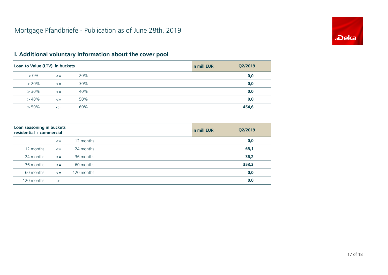![](_page_16_Picture_1.jpeg)

| Loan to Value (LTV) in buckets |        |     | in mill EUR | Q2/2019 |
|--------------------------------|--------|-----|-------------|---------|
| $> 0\%$                        | $\leq$ | 20% |             | 0,0     |
| $> 20\%$                       | $\leq$ | 30% |             | 0,0     |
| $> 30\%$                       | $\leq$ | 40% |             | 0,0     |
| $>40\%$                        | $\leq$ | 50% |             | 0,0     |
| $> 50\%$                       | $\leq$ | 60% |             | 454,6   |

| Loan seasoning in buckets<br>residential + commercial |        |            | in mill EUR | Q2/2019 |
|-------------------------------------------------------|--------|------------|-------------|---------|
|                                                       | $\leq$ | 12 months  |             | 0,0     |
| 12 months                                             | $\leq$ | 24 months  |             | 65,1    |
| 24 months                                             | $\leq$ | 36 months  |             | 36,2    |
| 36 months                                             | $\leq$ | 60 months  |             | 353,3   |
| 60 months                                             | $\leq$ | 120 months |             | 0,0     |
| 120 months                                            | $\geq$ |            |             | 0,0     |